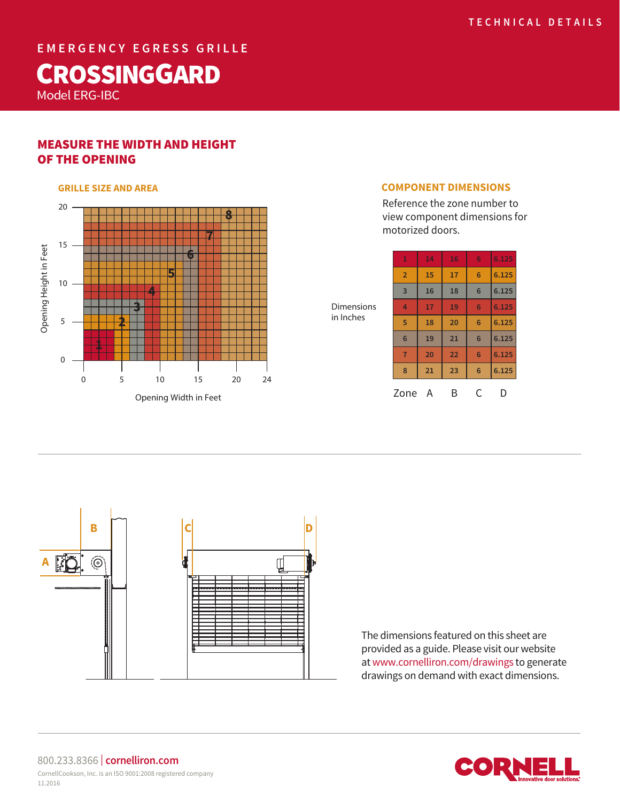**EMERGENCY EGRESS GRILLE**

# **CROSSINGGARD**

Model ERG-IBC

# MEASURE THE WIDTH AND HEIGHT OF THE OPENING



Reference the zone number to view component dimensions for motorized doors.

**14 16 6 6.125** 

| <b>Dimensions</b><br>in Inches | $\overline{2}$  | 15 | 17 | 6 | 6 |
|--------------------------------|-----------------|----|----|---|---|
|                                | $\overline{3}$  | 16 | 18 | 6 | 6 |
|                                | 4               | 17 | 19 | 6 | 6 |
|                                | 5               | 18 | 20 | 6 | 6 |
|                                | $6\phantom{1}6$ | 19 | 21 | 6 | 6 |
|                                | 7               | 20 | 22 | 6 | 6 |
|                                | 8               | 21 | 23 | 6 | 6 |

Zone A B C D



The dimensions featured on this sheet are provided as a guide. Please visit our website at www.cornelliron.com/drawings to generate drawings on demand with exact dimensions.